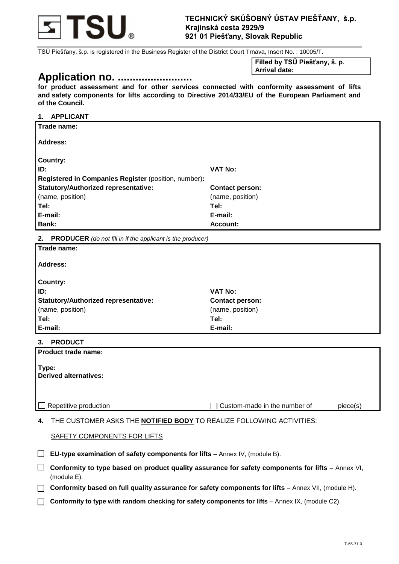

TSÚ Piešťany, š.p. is registered in the Business Register of the District Court Trnava, Insert No. : 10005/T.

# **Application no. .........................**

**Filled by TSÚ Piešťany, š. p. Arrival date:**

**for product assessment and for other services connected with conformity assessment of lifts and safety components for lifts according to Directive 2014/33/EU of the European Parliament and of the Council.** 

#### **1. APPLICANT**

| 2.<br><b>PRODUCER</b> (do not fill in if the applicant is the producer) |                        |  |
|-------------------------------------------------------------------------|------------------------|--|
| <b>Bank:</b>                                                            | Account:               |  |
| E-mail:                                                                 | E-mail:                |  |
| Tel:                                                                    | Tel:                   |  |
| (name, position)                                                        | (name, position)       |  |
| <b>Statutory/Authorized representative:</b>                             | <b>Contact person:</b> |  |
| Registered in Companies Register (position, number):                    |                        |  |
| ID:                                                                     | <b>VAT No:</b>         |  |
| Country:                                                                |                        |  |
| Address:                                                                |                        |  |
| Trade name:                                                             |                        |  |

| Trade name:                                 |                        |
|---------------------------------------------|------------------------|
| <b>Address:</b>                             |                        |
| <b>Country:</b>                             |                        |
| ID:                                         | VAT No:                |
| <b>Statutory/Authorized representative:</b> | <b>Contact person:</b> |
| (name, position)                            | (name, position)       |
| Tel:                                        | Tel:                   |
| E-mail:                                     | E-mail:                |

#### **3. PRODUCT**

| Product trade name:                   |                              |          |
|---------------------------------------|------------------------------|----------|
| Type:<br><b>Derived alternatives:</b> |                              |          |
| $\Box$ Repetitive production          | Custom-made in the number of | piece(s) |

**4.** THE CUSTOMER ASKS THE **NOTIFIED BODY** TO REALIZE FOLLOWING ACTIVITIES:

## SAFETY COMPONENTS FOR LIFTS

**EU-type examination of safety components for lifts** – Annex IV, (module B).

**Conformity to type based on product quality assurance for safety components for lifts** – Annex VI, (module E).

**Conformity based on full quality assurance for safety components for lifts** – Annex VII, (module H).

**Conformity to type with random checking for safety components for lifts** – Annex IX, (module C2).